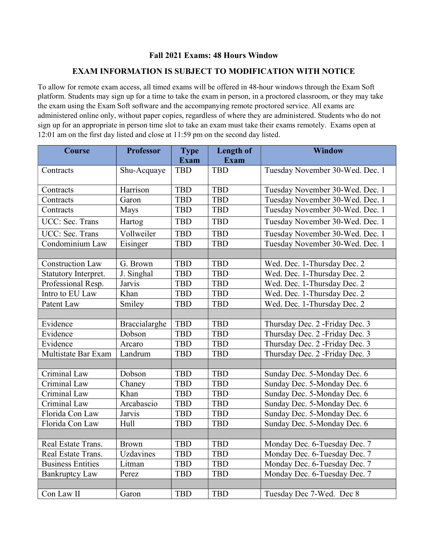## Fall 2021 Exams: 48 Hours Window

## EXAM INFORMATION IS SUBJECT TO MODIFICATION WITH NOTICE

To allow for remote exam access, all timed exams will be offered in 48-hour windows through the Exam Soft platform. Students may sign up for a time to take the exam in person, in a proctored classroom, or they may take the exam using the Exam Soft software and the accompanying remote proctored service. All exams are administered online only, without paper copies, regardless of where they are administered. Students who do not sign up for an appropriate in person time slot to take an exam must take their exams remotely. Exams open at 12:01 am on the first day listed and close at 11:59 pm on the second day listed.

| <b>Course</b>            | <b>Professor</b> | <b>Type</b> | <b>Length of</b> | <b>Window</b>                   |
|--------------------------|------------------|-------------|------------------|---------------------------------|
|                          |                  | <b>Exam</b> | <b>Exam</b>      |                                 |
| Contracts                | Shu-Acquaye      | <b>TBD</b>  | <b>TBD</b>       | Tuesday November 30-Wed. Dec. 1 |
| Contracts                | Harrison         | <b>TBD</b>  | <b>TBD</b>       | Tuesday November 30-Wed. Dec. 1 |
| Contracts                | Garon            | <b>TBD</b>  | <b>TBD</b>       | Tuesday November 30-Wed. Dec. 1 |
| Contracts                | Mays             | <b>TBD</b>  | <b>TBD</b>       | Tuesday November 30-Wed. Dec. 1 |
| UCC: Sec. Trans          | Hartog           | <b>TBD</b>  | <b>TBD</b>       | Tuesday November 30-Wed. Dec. 1 |
| UCC: Sec. Trans          | Vollweiler       | <b>TBD</b>  | <b>TBD</b>       | Tuesday November 30-Wed. Dec. 1 |
| Condominium Law          | Eisinger         | <b>TBD</b>  | <b>TBD</b>       | Tuesday November 30-Wed. Dec. 1 |
|                          |                  |             |                  |                                 |
| <b>Construction Law</b>  | G. Brown         | <b>TBD</b>  | <b>TBD</b>       | Wed. Dec. 1-Thursday Dec. 2     |
| Statutory Interpret.     | J. Singhal       | <b>TBD</b>  | <b>TBD</b>       | Wed. Dec. 1-Thursday Dec. 2     |
| Professional Resp.       | Jarvis           | <b>TBD</b>  | <b>TBD</b>       | Wed. Dec. 1-Thursday Dec. 2     |
| Intro to EU Law          | Khan             | <b>TBD</b>  | <b>TBD</b>       | Wed. Dec. 1-Thursday Dec. 2     |
| Patent Law               | Smiley           | <b>TBD</b>  | <b>TBD</b>       | Wed. Dec. 1-Thursday Dec. 2     |
|                          |                  |             |                  |                                 |
| Evidence                 | Braccialarghe    | <b>TBD</b>  | <b>TBD</b>       | Thursday Dec. 2 - Friday Dec. 3 |
| Evidence                 | Dobson           | <b>TBD</b>  | <b>TBD</b>       | Thursday Dec. 2 - Friday Dec. 3 |
| Evidence                 | Arcaro           | <b>TBD</b>  | <b>TBD</b>       | Thursday Dec. 2 - Friday Dec. 3 |
| Multistate Bar Exam      | Landrum          | <b>TBD</b>  | <b>TBD</b>       | Thursday Dec. 2 - Friday Dec. 3 |
|                          |                  |             |                  |                                 |
| Criminal Law             | Dobson           | <b>TBD</b>  | <b>TBD</b>       | Sunday Dec. 5-Monday Dec. 6     |
| Criminal Law             | Chaney           | <b>TBD</b>  | <b>TBD</b>       | Sunday Dec. 5-Monday Dec. 6     |
| Criminal Law             | Khan             | <b>TBD</b>  | <b>TBD</b>       | Sunday Dec. 5-Monday Dec. 6     |
| Criminal Law             | Arcabascio       | <b>TBD</b>  | <b>TBD</b>       | Sunday Dec. 5-Monday Dec. 6     |
| Florida Con Law          | Jarvis           | <b>TBD</b>  | <b>TBD</b>       | Sunday Dec. 5-Monday Dec. 6     |
| Florida Con Law          | Hull             | <b>TBD</b>  | <b>TBD</b>       | Sunday Dec. 5-Monday Dec. 6     |
|                          |                  |             |                  |                                 |
| Real Estate Trans.       | <b>Brown</b>     | <b>TBD</b>  | <b>TBD</b>       | Monday Dec. 6-Tuesday Dec. 7    |
| Real Estate Trans.       | Uzdavines        | <b>TBD</b>  | <b>TBD</b>       | Monday Dec. 6-Tuesday Dec. 7    |
| <b>Business Entities</b> | Litman           | <b>TBD</b>  | <b>TBD</b>       | Monday Dec. 6-Tuesday Dec. 7    |
| <b>Bankruptcy Law</b>    | Perez            | <b>TBD</b>  | <b>TBD</b>       | Monday Dec. 6-Tuesday Dec. 7    |
|                          |                  |             |                  |                                 |
| Con Law II               | Garon            | <b>TBD</b>  | <b>TBD</b>       | Tuesday Dec 7-Wed. Dec 8        |